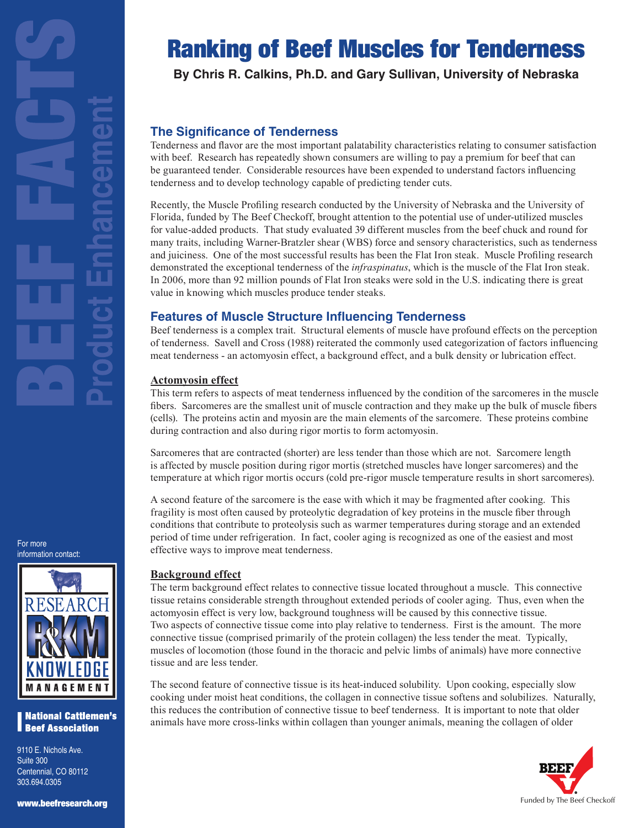

For more

## **National Cattlemen's Beef Association**

9110 E. Nichols Ave. Suite 300 Centennial, CO 80112 303.694.0305

#### www.beefresearch.org

# Ranking of Beef Muscles for Tenderness

**By Chris R. Calkins, Ph.D. and Gary Sullivan, University of Nebraska**

# **The Significance of Tenderness**

Tenderness and flavor are the most important palatability characteristics relating to consumer satisfaction with beef. Research has repeatedly shown consumers are willing to pay a premium for beef that can be guaranteed tender. Considerable resources have been expended to understand factors influencing tenderness and to develop technology capable of predicting tender cuts.

Recently, the Muscle Profiling research conducted by the University of Nebraska and the University of Florida, funded by The Beef Checkoff, brought attention to the potential use of under-utilized muscles for value-added products. That study evaluated 39 different muscles from the beef chuck and round for many traits, including Warner-Bratzler shear (WBS) force and sensory characteristics, such as tenderness and juiciness. One of the most successful results has been the Flat Iron steak. Muscle Profiling research demonstrated the exceptional tenderness of the *infraspinatus*, which is the muscle of the Flat Iron steak. In 2006, more than 92 million pounds of Flat Iron steaks were sold in the U.S. indicating there is great value in knowing which muscles produce tender steaks.

# **Features of Muscle Structure Influencing Tenderness**

Beef tenderness is a complex trait. Structural elements of muscle have profound effects on the perception of tenderness. Savell and Cross (1988) reiterated the commonly used categorization of factors influencing meat tenderness - an actomyosin effect, a background effect, and a bulk density or lubrication effect.

## **Actomyosin effect**

This term refers to aspects of meat tenderness influenced by the condition of the sarcomeres in the muscle fibers. Sarcomeres are the smallest unit of muscle contraction and they make up the bulk of muscle fibers (cells). The proteins actin and myosin are the main elements of the sarcomere. These proteins combine during contraction and also during rigor mortis to form actomyosin.

Sarcomeres that are contracted (shorter) are less tender than those which are not. Sarcomere length is affected by muscle position during rigor mortis (stretched muscles have longer sarcomeres) and the temperature at which rigor mortis occurs (cold pre-rigor muscle temperature results in short sarcomeres).

A second feature of the sarcomere is the ease with which it may be fragmented after cooking. This fragility is most often caused by proteolytic degradation of key proteins in the muscle fiber through conditions that contribute to proteolysis such as warmer temperatures during storage and an extended period of time under refrigeration. In fact, cooler aging is recognized as one of the easiest and most effective ways to improve meat tenderness.

## **Background effect**

The term background effect relates to connective tissue located throughout a muscle. This connective tissue retains considerable strength throughout extended periods of cooler aging. Thus, even when the actomyosin effect is very low, background toughness will be caused by this connective tissue. Two aspects of connective tissue come into play relative to tenderness. First is the amount. The more connective tissue (comprised primarily of the protein collagen) the less tender the meat. Typically, muscles of locomotion (those found in the thoracic and pelvic limbs of animals) have more connective tissue and are less tender.

The second feature of connective tissue is its heat-induced solubility. Upon cooking, especially slow cooking under moist heat conditions, the collagen in connective tissue softens and solubilizes. Naturally, this reduces the contribution of connective tissue to beef tenderness. It is important to note that older animals have more cross-links within collagen than younger animals, meaning the collagen of older

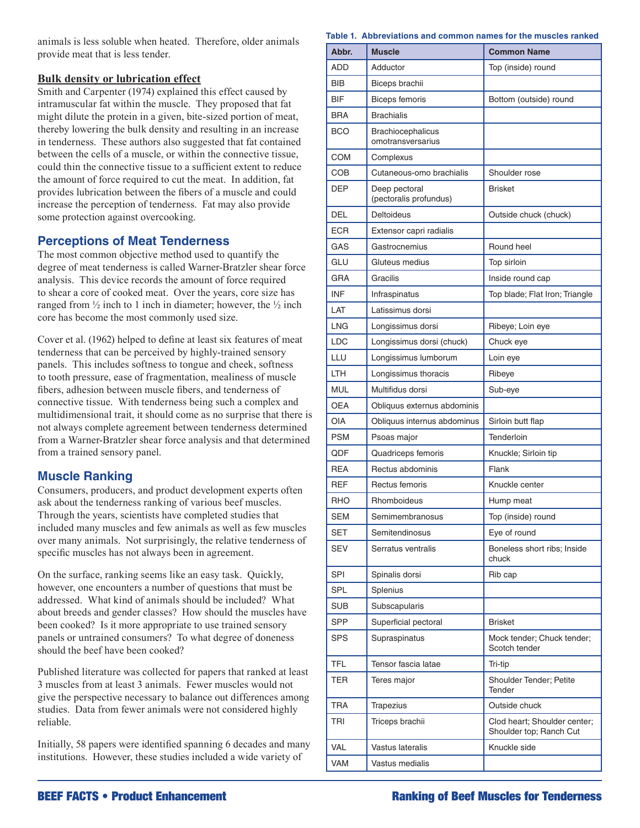animals is less soluble when heated. Therefore, older animals provide meat that is less tender.

## **Bulk density or lubrication effect**

Smith and Carpenter (1974) explained this effect caused by intramuscular fat within the muscle. They proposed that fat might dilute the protein in a given, bite-sized portion of meat, thereby lowering the bulk density and resulting in an increase in tenderness. These authors also suggested that fat contained between the cells of a muscle, or within the connective tissue, could thin the connective tissue to a sufficient extent to reduce the amount of force required to cut the meat. In addition, fat provides lubrication between the fibers of a muscle and could increase the perception of tenderness. Fat may also provide some protection against overcooking.

## **Perceptions of Meat Tenderness**

The most common objective method used to quantify the degree of meat tenderness is called Warner-Bratzler shear force analysis. This device records the amount of force required to shear a core of cooked meat. Over the years, core size has ranged from  $\frac{1}{2}$  inch to 1 inch in diameter; however, the  $\frac{1}{2}$  inch core has become the most commonly used size.

Cover et al. (1962) helped to define at least six features of meat tenderness that can be perceived by highly-trained sensory panels. This includes softness to tongue and cheek, softness to tooth pressure, ease of fragmentation, mealiness of muscle fibers, adhesion between muscle fibers, and tenderness of connective tissue. With tenderness being such a complex and multidimensional trait, it should come as no surprise that there is not always complete agreement between tenderness determined from a Warner-Bratzler shear force analysis and that determined from a trained sensory panel.

## **Muscle Ranking**

Consumers, producers, and product development experts often ask about the tenderness ranking of various beef muscles. Through the years, scientists have completed studies that included many muscles and few animals as well as few muscles over many animals. Not surprisingly, the relative tenderness of specific muscles has not always been in agreement.

On the surface, ranking seems like an easy task. Quickly, however, one encounters a number of questions that must be addressed. What kind of animals should be included? What about breeds and gender classes? How should the muscles have been cooked? Is it more appropriate to use trained sensory panels or untrained consumers? To what degree of doneness should the beef have been cooked?

Published literature was collected for papers that ranked at least 3 muscles from at least 3 animals. Fewer muscles would not give the perspective necessary to balance out differences among studies. Data from fewer animals were not considered highly reliable.

Initially, 58 papers were identified spanning 6 decades and many institutions. However, these studies included a wide variety of

#### **Table 1. Abbreviations and common names for the muscles ranked**

| Abbr.      | <b>Muscle</b>                           | <b>Common Name</b>                                      |  |
|------------|-----------------------------------------|---------------------------------------------------------|--|
| <b>ADD</b> | Adductor                                | Top (inside) round                                      |  |
| <b>BIB</b> | Biceps brachii                          |                                                         |  |
| <b>BIF</b> | Biceps femoris                          | Bottom (outside) round                                  |  |
| <b>BRA</b> | <b>Brachialis</b>                       |                                                         |  |
| <b>BCO</b> | Brachiocephalicus<br>omotransversarius  |                                                         |  |
| <b>COM</b> | Complexus                               |                                                         |  |
| COB        | Cutaneous-omo brachialis                | Shoulder rose                                           |  |
| DEP        | Deep pectoral<br>(pectoralis profundus) | <b>Brisket</b>                                          |  |
| DEL        | Deltoideus                              | Outside chuck (chuck)                                   |  |
| <b>ECR</b> | Extensor capri radialis                 |                                                         |  |
| GAS        | Gastrocnemius                           | Round heel                                              |  |
| GLU        | Gluteus medius                          | Top sirloin                                             |  |
| GRA        | Gracilis                                | Inside round cap                                        |  |
| <b>INF</b> | Infraspinatus                           | Top blade; Flat Iron; Triangle                          |  |
| LAT        | Latissimus dorsi                        |                                                         |  |
| <b>LNG</b> | Longissimus dorsi                       | Ribeye; Loin eye                                        |  |
| LDC        | Longissimus dorsi (chuck)               | Chuck eye                                               |  |
| LLU        | Longissimus lumborum                    | Loin eye                                                |  |
| LTH.       | Longissimus thoracis                    | Ribeye                                                  |  |
| <b>MUL</b> | Multifidus dorsi                        | Sub-eye                                                 |  |
| <b>OEA</b> | Obliquus externus abdominis             |                                                         |  |
| OIA        | Obliquus internus abdominus             | Sirloin butt flap                                       |  |
| <b>PSM</b> | Psoas major                             | Tenderloin                                              |  |
| ODE        | Quadriceps femoris                      | Knuckle; Sirloin tip                                    |  |
| <b>RFA</b> | Rectus abdominis                        | Flank                                                   |  |
| <b>REF</b> | Rectus femoris                          | Knuckle center                                          |  |
| RHO        | Rhomboideus                             | Hump meat                                               |  |
| <b>SEM</b> | Semimembranosus                         | Top (inside) round                                      |  |
| SET        | Semitendinosus                          | Eye of round                                            |  |
| SEV        | Serratus ventralis                      | Boneless short ribs; Inside<br>chuck                    |  |
| SPI        | Spinalis dorsi                          | Rib cap                                                 |  |
| SPL        | Splenius                                |                                                         |  |
| <b>SUB</b> | Subscapularis                           |                                                         |  |
| <b>SPP</b> | Superficial pectoral                    | <b>Brisket</b>                                          |  |
| SPS        | Supraspinatus                           | Mock tender; Chuck tender;<br>Scotch tender             |  |
| TFL        | Tensor fascia latae                     | Tri-tip                                                 |  |
| TER        | Teres major                             | Shoulder Tender; Petite<br>Tender                       |  |
| <b>TRA</b> | Trapezius                               | Outside chuck                                           |  |
| TRI        | Triceps brachii                         | Clod heart; Shoulder center;<br>Shoulder top; Ranch Cut |  |
| VAL        | Vastus lateralis                        | Knuckle side                                            |  |
| VAM        | Vastus medialis                         |                                                         |  |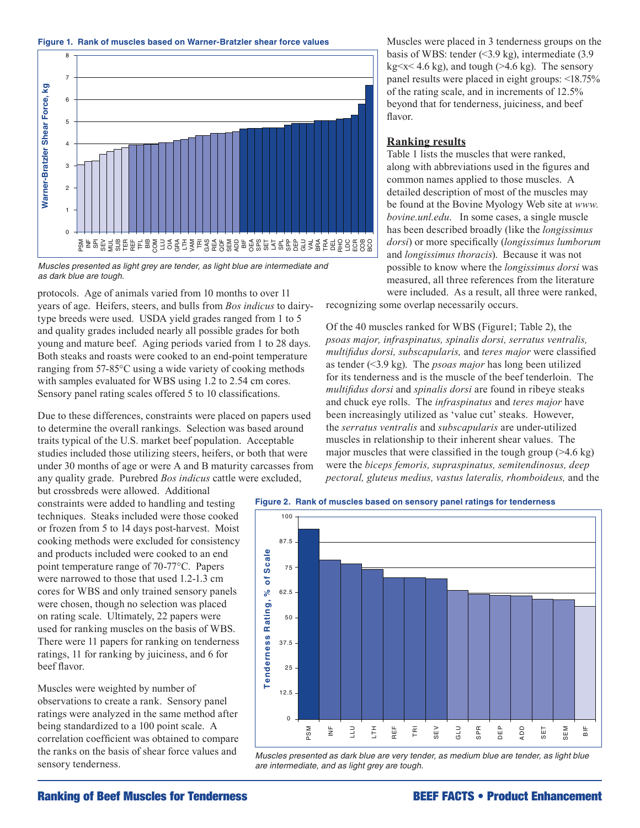



100 *as dark blue are tough. Muscles presented as light grey are tender, as light blue are intermediate and* 

protocols. Age of animals varied from 10 months to over 11 8 years of age. Heifers, steers, and bulls from *Bos indicus* to dairytype breeds were used. USDA yield grades ranged from 1 to 5 and quality grades included nearly all possible grades for both young and mature beef. Aging periods varied from 1 to 28 days. Both steaks and roasts were cooked to an end-point temperature ranging from 57-85°C using a wide variety of cooking methods with samples evaluated for WBS using 1.2 to 2.54 cm cores. Sensory panel rating scales offered 5 to 10 classifications. **Tender**<br>Tenderness Rating<br>Scale<br>Tenderness Rating ware force, and the paraller<br>branches of paraller<br>or paraller sheared and the conditional dentity of the solution of the solution of the solution of the solution of the solution of the solution of the solution of the solut

Due to these differences, constraints were placed on papers used to determine the overall rankings. Selection was based around traits typical of the U.S. market beef population. Acceptable 1 studies included those utilizing steers, heifers, or both that were under 30 months of age or were A and B maturity carcasses from any quality grade. Purebred Bos indicus cattle were excluded,

but crossbreds were allowed. Additional but crossorcus were anowed. Additional techniques. Steaks included were those cooked or frozen from 5 to 14 days post-harvest. Moist cooking methods were excluded for consistency and products included were cooked to an end point temperature range of 70-77°C. Papers were narrowed to those that used 1.2-1.3 cm cores for WBS and only trained sensory panels were chosen, though no selection was placed on rating scale. Ultimately, 22 papers were used for ranking muscles on the basis of WBS. There were 11 papers for ranking on tenderness ratings, 11 for ranking by juiciness, and 6 for beef flavor.

Muscles were weighted by number of observations to create a rank. Sensory panel ratings were analyzed in the same method after being standardized to a 100 point scale. A correlation coefficient was obtained to compare the ranks on the basis of shear force values and sensory tenderness.

Muscles were placed in 3 tenderness groups on the basis of WBS: tender  $(3.9 \text{ kg})$ , intermediate  $(3.9 \text{ kg})$  $kg < x < 4.6$  kg), and tough ( $>4.6$  kg). The sensory panel results were placed in eight groups: <18.75% of the rating scale, and in increments of 12.5% beyond that for tenderness, juiciness, and beef flavor.

#### **Ranking results**

Table 1 lists the muscles that were ranked, along with abbreviations used in the figures and common names applied to those muscles. A detailed description of most of the muscles may be found at the Bovine Myology Web site at *www. bovine.unl.edu*. In some cases, a single muscle has been described broadly (like the *longissimus dorsi*) or more specifically (*longissimus lumborum* and *longissimus thoracis*). Because it was not possible to know where the *longissimus dorsi* was measured, all three references from the literature were included. As a result, all three were ranked,

recognizing some overlap necessarily occurs.

Of the 40 muscles ranked for WBS (Figure1; Table 2), the *psoas major, infraspinatus, spinalis dorsi, serratus ventralis, multifidus dorsi, subscapularis,* and *teres major* were classified as tender (<3.9 kg). The *psoas major* has long been utilized for its tenderness and is the muscle of the beef tenderloin. The *multifidus dorsi* and *spinalis dorsi* are found in ribeye steaks and chuck eye rolls. The *infraspinatus* and *teres major* have been increasingly utilized as 'value cut' steaks. However, the *serratus ventralis* and *subscapularis* are under-utilized muscles in relationship to their inherent shear values. The major muscles that were classified in the tough group  $(>4.6 \text{ kg})$ were the *biceps femoris, supraspinatus, semitendinosus, deep*  pectoral, gluteus medius, vastus lateralis, rhomboideus, and the





*Muscles presented as dark blue are very tender, as medium blue are tender, as light blue are intermediate, and as light grey are tough.*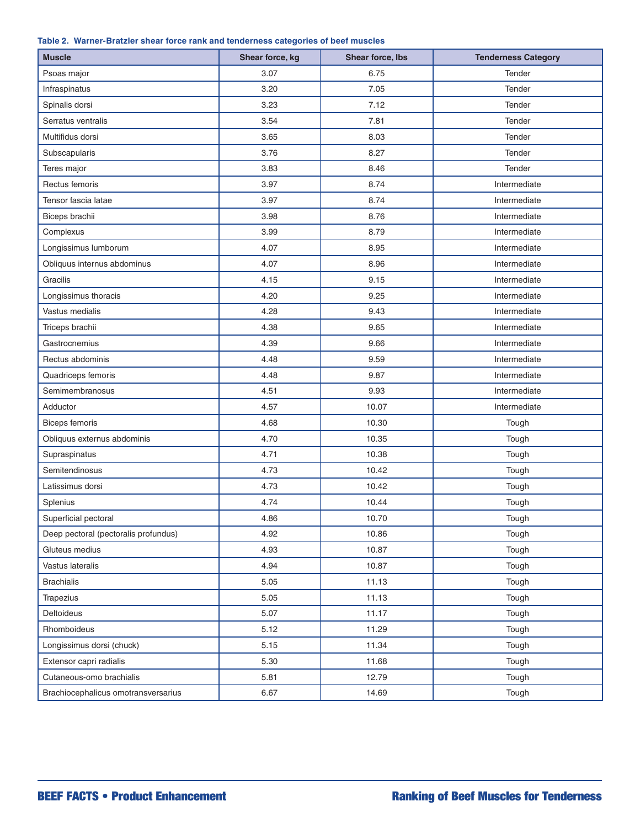|  | Table 2. Warner-Bratzler shear force rank and tenderness categories of beef muscles |  |  |  |  |  |  |
|--|-------------------------------------------------------------------------------------|--|--|--|--|--|--|
|--|-------------------------------------------------------------------------------------|--|--|--|--|--|--|

| <b>Muscle</b>                        | Shear force, kg | Shear force, Ibs | <b>Tenderness Category</b> |
|--------------------------------------|-----------------|------------------|----------------------------|
| Psoas major                          | 3.07            | 6.75             | Tender                     |
| Infraspinatus                        | 3.20            | 7.05             | Tender                     |
| Spinalis dorsi                       | 3.23            | 7.12             | Tender                     |
| Serratus ventralis                   | 3.54            | 7.81             | Tender                     |
| Multifidus dorsi                     | 3.65            | 8.03             | Tender                     |
| Subscapularis                        | 3.76            | 8.27             | Tender                     |
| Teres major                          | 3.83            | 8.46             | Tender                     |
| Rectus femoris                       | 3.97            | 8.74             | Intermediate               |
| Tensor fascia latae                  | 3.97            | 8.74             | Intermediate               |
| Biceps brachii                       | 3.98            | 8.76             | Intermediate               |
| Complexus                            | 3.99            | 8.79             | Intermediate               |
| Longissimus lumborum                 | 4.07            | 8.95             | Intermediate               |
| Obliquus internus abdominus          | 4.07            | 8.96             | Intermediate               |
| Gracilis                             | 4.15            | 9.15             | Intermediate               |
| Longissimus thoracis                 | 4.20            | 9.25             | Intermediate               |
| Vastus medialis                      | 4.28            | 9.43             | Intermediate               |
| Triceps brachii                      | 4.38            | 9.65             | Intermediate               |
| Gastrocnemius                        | 4.39            | 9.66             | Intermediate               |
| Rectus abdominis                     | 4.48            | 9.59             | Intermediate               |
| Quadriceps femoris                   | 4.48            | 9.87             | Intermediate               |
| Semimembranosus                      | 4.51            | 9.93             | Intermediate               |
| Adductor                             | 4.57            | 10.07            | Intermediate               |
| <b>Biceps femoris</b>                | 4.68            | 10.30            | Tough                      |
| Obliquus externus abdominis          | 4.70            | 10.35            | Tough                      |
| Supraspinatus                        | 4.71            | 10.38            | Tough                      |
| Semitendinosus                       | 4.73            | 10.42            | Tough                      |
| Latissimus dorsi                     | 4.73            | 10.42            | Tough                      |
| Splenius                             | 4.74            | 10.44            | Tough                      |
| Superficial pectoral                 | 4.86            | 10.70            | Tough                      |
| Deep pectoral (pectoralis profundus) | 4.92            | 10.86            | Tough                      |
| Gluteus medius                       | 4.93            | 10.87            | Tough                      |
| Vastus lateralis                     | 4.94            | 10.87            | Tough                      |
| <b>Brachialis</b>                    | 5.05            | 11.13            | Tough                      |
| Trapezius                            | 5.05            | 11.13            | Tough                      |
| <b>Deltoideus</b>                    | 5.07            | 11.17            | Tough                      |
| Rhomboideus                          | 5.12            | 11.29            | Tough                      |
| Longissimus dorsi (chuck)            | 5.15            | 11.34            | Tough                      |
| Extensor capri radialis              | 5.30            | 11.68            | Tough                      |
| Cutaneous-omo brachialis             | 5.81            | 12.79            | Tough                      |
| Brachiocephalicus omotransversarius  | 6.67            | 14.69            | Tough                      |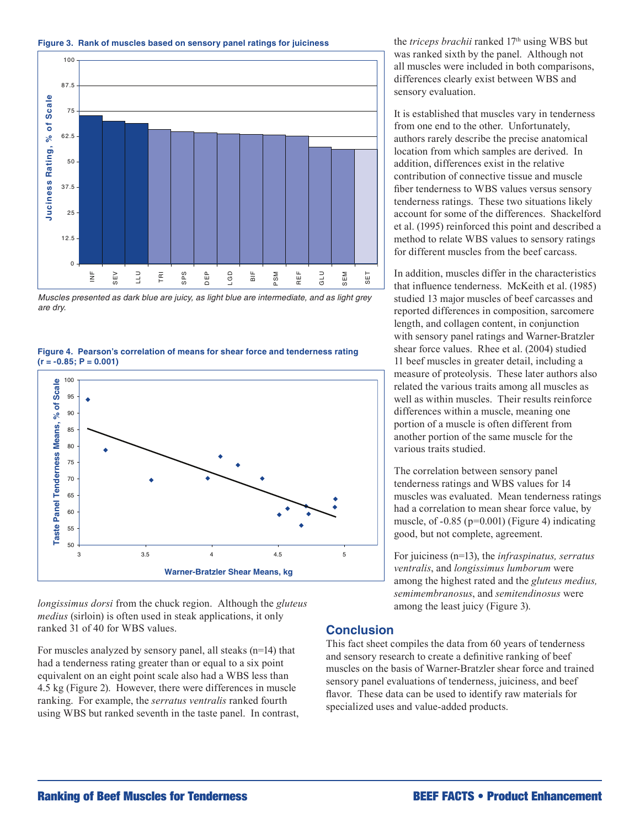



Muscles presented as dark blue are juicy, as light blue are intermediate, and as light grey *are dry.* 

 $(r = -0.85; P = 0.001)$ **Figure 4. Pearson's correlation of means for shear force and tenderness rating** 



*longissimus dorsi* from the chuck region. Although the *gluteus medius* (sirloin) is often used in steak applications, it only ranked 31 of 40 for WBS values.

For muscles analyzed by sensory panel, all steaks (n=14) that had a tenderness rating greater than or equal to a six point equivalent on an eight point scale also had a WBS less than 4.5 kg (Figure 2). However, there were differences in muscle ranking. For example, the *serratus ventralis* ranked fourth using WBS but ranked seventh in the taste panel. In contrast, the *triceps brachii* ranked 17<sup>th</sup> using WBS but was ranked sixth by the panel. Although not all muscles were included in both comparisons, differences clearly exist between WBS and sensory evaluation.

It is established that muscles vary in tenderness from one end to the other. Unfortunately, authors rarely describe the precise anatomical location from which samples are derived. In addition, differences exist in the relative contribution of connective tissue and muscle fiber tenderness to WBS values versus sensory tenderness ratings. These two situations likely account for some of the differences. Shackelford et al. (1995) reinforced this point and described a method to relate WBS values to sensory ratings for different muscles from the beef carcass.

In addition, muscles differ in the characteristics that influence tenderness. McKeith et al. (1985) studied 13 major muscles of beef carcasses and reported differences in composition, sarcomere length, and collagen content, in conjunction with sensory panel ratings and Warner-Bratzler shear force values. Rhee et al. (2004) studied 11 beef muscles in greater detail, including a measure of proteolysis. These later authors also related the various traits among all muscles as well as within muscles. Their results reinforce differences within a muscle, meaning one portion of a muscle is often different from another portion of the same muscle for the various traits studied.

The correlation between sensory panel tenderness ratings and WBS values for 14 muscles was evaluated. Mean tenderness ratings had a correlation to mean shear force value, by muscle, of  $-0.85$  ( $p=0.001$ ) (Figure 4) indicating good, but not complete, agreement.

For juiciness (n=13), the *infraspinatus, serratus ventralis*, and *longissimus lumborum* were among the highest rated and the *gluteus medius, semimembranosus*, and *semitendinosus* were among the least juicy (Figure 3).

## **Conclusion**

This fact sheet compiles the data from 60 years of tenderness and sensory research to create a definitive ranking of beef muscles on the basis of Warner-Bratzler shear force and trained sensory panel evaluations of tenderness, juiciness, and beef flavor. These data can be used to identify raw materials for specialized uses and value-added products.